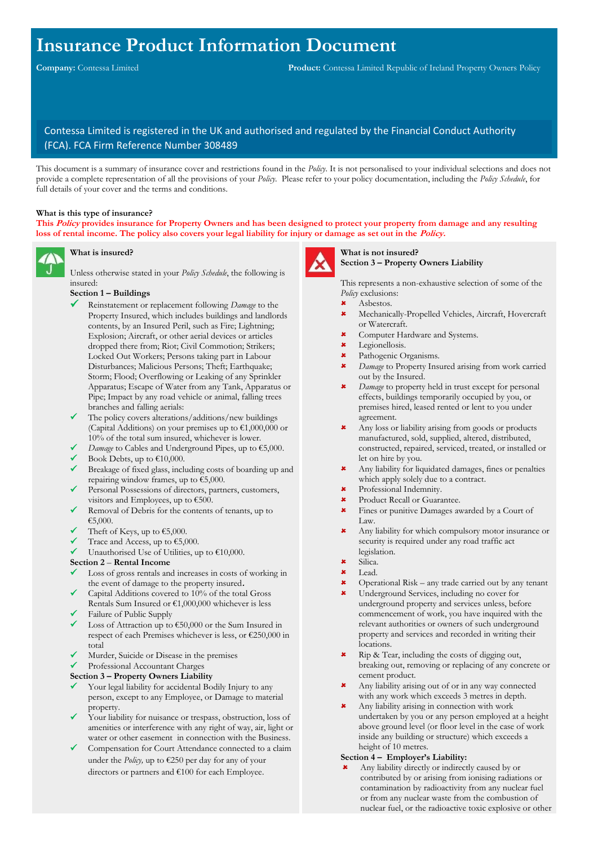# **Insurance Product Information Document**

# Contessa Limited is registered in the UK and authorised and regulated by the Financial Conduct Authority (FCA). FCA Firm Reference Number 308489

This document is a summary of insurance cover and restrictions found in the *Policy*. It is not personalised to your individual selections and does not provide a complete representation of all the provisions of your *Policy*. Please refer to your policy documentation, including the *Policy Schedule*, for full details of your cover and the terms and conditions.

#### **What is this type of insurance?**

**This Policy provides insurance for Property Owners and has been designed to protect your property from damage and any resulting loss of rental income. The policy also covers your legal liability for injury or damage as set out in the Policy.**



#### **What is insured?**

Unless otherwise stated in your *Policy Schedule*, the following is insured:

#### **Section 1 – Buildings**

- Reinstatement or replacement following *Damage* to the Property Insured, which includes buildings and landlords contents, by an Insured Peril, such as Fire; Lightning; Explosion; Aircraft, or other aerial devices or articles dropped there from; Riot; Civil Commotion; Strikers; Locked Out Workers; Persons taking part in Labour Disturbances; Malicious Persons; Theft; Earthquake; Storm; Flood; Overflowing or Leaking of any Sprinkler Apparatus; Escape of Water from any Tank, Apparatus or Pipe; Impact by any road vehicle or animal, falling trees branches and falling aerials:
- The policy covers alterations/additions/new buildings (Capital Additions) on your premises up to €1,000,000 or 10% of the total sum insured, whichever is lower.
- *Damage* to Cables and Underground Pipes, up to €5,000.
- Book Debts, up to  $€10,000$ .
- Breakage of fixed glass, including costs of boarding up and repairing window frames, up to  $\epsilon$ 5,000.
- Personal Possessions of directors, partners, customers, visitors and Employees, up to €500.
- ✓ Removal of Debris for the contents of tenants, up to €5,000.
- Theft of Keys, up to  $€5,000$ .
- Trace and Access, up to  $€5,000$ .
- Unauthorised Use of Utilities, up to  $€10,000$ .

#### **Section 2** – **Rental Income**

- Loss of gross rentals and increases in costs of working in the event of damage to the property insured**.**
- Capital Additions covered to 10% of the total Gross
- Rentals Sum Insured or €1,000,000 whichever is less Failure of Public Supply
- ✓ Loss of Attraction up to €50,000 or the Sum Insured in respect of each Premises whichever is less, or €250,000 in total
- Murder, Suicide or Disease in the premises
- ✓ Professional Accountant Charges

#### **Section 3 – Property Owners Liability**

- Your legal liability for accidental Bodily Injury to any person, except to any Employee, or Damage to material property.
- Your liability for nuisance or trespass, obstruction, loss of amenities or interference with any right of way, air, light or water or other easement in connection with the Business.
- ✓ Compensation for Court Attendance connected to a claim under the *Policy,* up to €250 per day for any of your directors or partners and €100 for each Employee.



# **What is not insured?**

**Section 3 – Property Owners Liability**

This represents a non-exhaustive selection of some of the *Policy* exclusions:

- Asbestos.
- Mechanically-Propelled Vehicles, Aircraft, Hovercraft or Watercraft.
- Computer Hardware and Systems.
- $\star$  Legionellosis.<br> $\star$  Pathogenic O
- Pathogenic Organisms.
- *Damage* to Property Insured arising from work carried out by the Insured.
- *Damage* to property held in trust except for personal effects, buildings temporarily occupied by you, or premises hired, leased rented or lent to you under agreement.
- Any loss or liability arising from goods or products manufactured, sold, supplied, altered, distributed, constructed, repaired, serviced, treated, or installed or let on hire by you.
- Any liability for liquidated damages, fines or penalties which apply solely due to a contract.
- Professional Indemnity.
- **\*** Product Recall or Guarantee.
- Fines or punitive Damages awarded by a Court of Law.
- Any liability for which compulsory motor insurance or security is required under any road traffic act legislation.
- Silica.
- Lead.
- $\star$  Operational Risk any trade carried out by any tenant
- Underground Services, including no cover for underground property and services unless, before commencement of work, you have inquired with the relevant authorities or owners of such underground property and services and recorded in writing their locations.
- Rip & Tear, including the costs of digging out, breaking out, removing or replacing of any concrete or cement product.
- Any liability arising out of or in any way connected with any work which exceeds 3 metres in depth.
- Any liability arising in connection with work undertaken by you or any person employed at a height above ground level (or floor level in the case of work inside any building or structure) which exceeds a height of 10 metres.

#### **Section 4 – Employer's Liability:**

 Any liability directly or indirectly caused by or contributed by or arising from ionising radiations or contamination by radioactivity from any nuclear fuel or from any nuclear waste from the combustion of nuclear fuel, or the radioactive toxic explosive or other